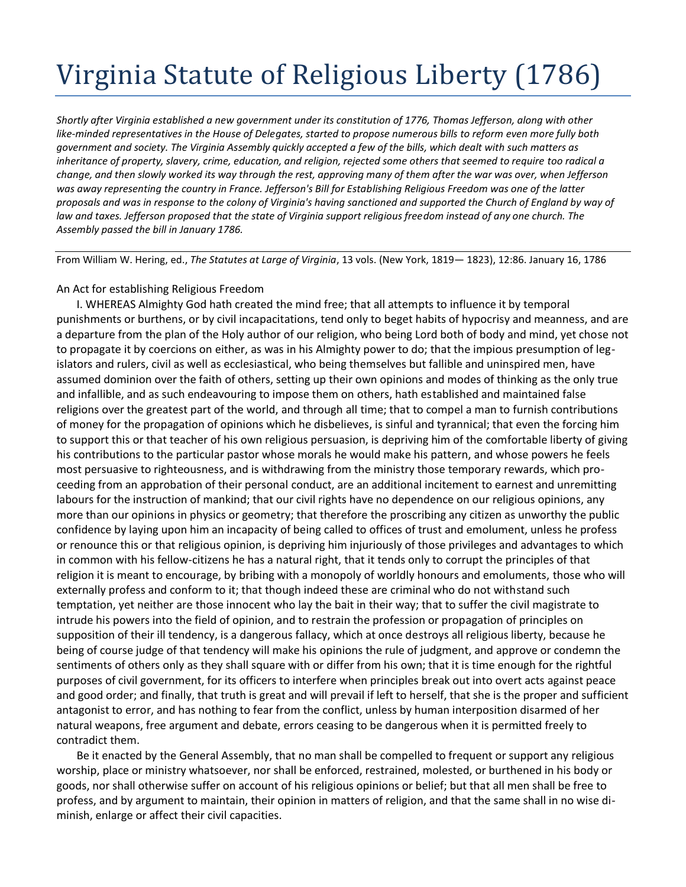## Virginia Statute of Religious Liberty (1786)

*Shortly after Virginia established a new government under its constitution of 1776, Thomas Jefferson, along with other like-minded representatives in the House of Delegates, started to propose numerous bills to reform even more fully both government and society. The Virginia Assembly quickly accepted a few of the bills, which dealt with such matters as inheritance of property, slavery, crime, education, and religion, rejected some others that seemed to require too radical a change, and then slowly worked its way through the rest, approving many of them after the war was over, when Jefferson was away representing the country in France. Jefferson's Bill for Establishing Religious Freedom was one of the latter proposals and was in response to the colony of Virginia's having sanctioned and supported the Church of England by way of*  law and taxes. Jefferson proposed that the state of Virginia support religious freedom instead of any one church. The *Assembly passed the bill in January 1786.*

From William W. Hering, ed., *The Statutes at Large of Virginia*, 13 vols. (New York, 1819— 1823), 12:86. January 16, 1786

## An Act for establishing Religious Freedom

I. WHEREAS Almighty God hath created the mind free; that all attempts to influence it by temporal punishments or burthens, or by civil incapacitations, tend only to beget habits of hypocrisy and meanness, and are a departure from the plan of the Holy author of our religion, who being Lord both of body and mind, yet chose not to propagate it by coercions on either, as was in his Almighty power to do; that the impious presumption of legislators and rulers, civil as well as ecclesiastical, who being themselves but fallible and uninspired men, have assumed dominion over the faith of others, setting up their own opinions and modes of thinking as the only true and infallible, and as such endeavouring to impose them on others, hath established and maintained false religions over the greatest part of the world, and through all time; that to compel a man to furnish contributions of money for the propagation of opinions which he disbelieves, is sinful and tyrannical; that even the forcing him to support this or that teacher of his own religious persuasion, is depriving him of the comfortable liberty of giving his contributions to the particular pastor whose morals he would make his pattern, and whose powers he feels most persuasive to righteousness, and is withdrawing from the ministry those temporary rewards, which proceeding from an approbation of their personal conduct, are an additional incitement to earnest and unremitting labours for the instruction of mankind; that our civil rights have no dependence on our religious opinions, any more than our opinions in physics or geometry; that therefore the proscribing any citizen as unworthy the public confidence by laying upon him an incapacity of being called to offices of trust and emolument, unless he profess or renounce this or that religious opinion, is depriving him injuriously of those privileges and advantages to which in common with his fellow-citizens he has a natural right, that it tends only to corrupt the principles of that religion it is meant to encourage, by bribing with a monopoly of worldly honours and emoluments, those who will externally profess and conform to it; that though indeed these are criminal who do not withstand such temptation, yet neither are those innocent who lay the bait in their way; that to suffer the civil magistrate to intrude his powers into the field of opinion, and to restrain the profession or propagation of principles on supposition of their ill tendency, is a dangerous fallacy, which at once destroys all religious liberty, because he being of course judge of that tendency will make his opinions the rule of judgment, and approve or condemn the sentiments of others only as they shall square with or differ from his own; that it is time enough for the rightful purposes of civil government, for its officers to interfere when principles break out into overt acts against peace and good order; and finally, that truth is great and will prevail if left to herself, that she is the proper and sufficient antagonist to error, and has nothing to fear from the conflict, unless by human interposition disarmed of her natural weapons, free argument and debate, errors ceasing to be dangerous when it is permitted freely to contradict them.

Be it enacted by the General Assembly, that no man shall be compelled to frequent or support any religious worship, place or ministry whatsoever, nor shall be enforced, restrained, molested, or burthened in his body or goods, nor shall otherwise suffer on account of his religious opinions or belief; but that all men shall be free to profess, and by argument to maintain, their opinion in matters of religion, and that the same shall in no wise diminish, enlarge or affect their civil capacities.